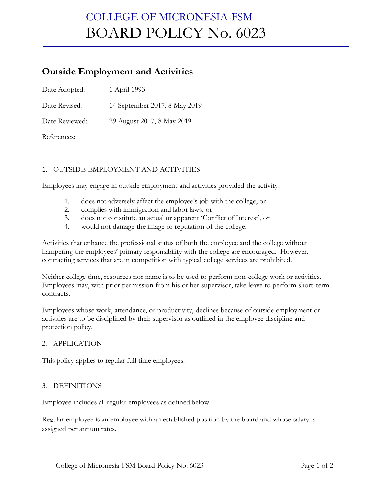## COLLEGE OF MICRONESIA-FSM BOARD POLICY No. 6023

### **Outside Employment and Activities**

| Date Adopted: | 1 April 1993 |
|---------------|--------------|
|---------------|--------------|

Date Revised: 14 September 2017, 8 May 2019

Date Reviewed: 29 August 2017, 8 May 2019

References:

### 1. OUTSIDE EMPLOYMENT AND ACTIVITIES

Employees may engage in outside employment and activities provided the activity:

- 1. does not adversely affect the employee's job with the college, or
- 2. complies with immigration and labor laws, or
- 3. does not constitute an actual or apparent 'Conflict of Interest', or
- 4. would not damage the image or reputation of the college.

Activities that enhance the professional status of both the employee and the college without hampering the employees' primary responsibility with the college are encouraged. However, contracting services that are in competition with typical college services are prohibited.

Neither college time, resources nor name is to be used to perform non-college work or activities. Employees may, with prior permission from his or her supervisor, take leave to perform short-term contracts.

Employees whose work, attendance, or productivity, declines because of outside employment or activities are to be disciplined by their supervisor as outlined in the employee discipline and protection policy.

#### 2. APPLICATION

This policy applies to regular full time employees.

#### 3. DEFINITIONS

Employee includes all regular employees as defined below.

Regular employee is an employee with an established position by the board and whose salary is assigned per annum rates.